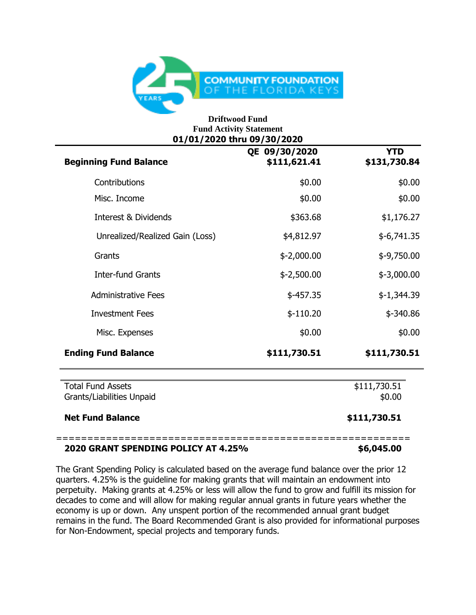

## **Driftwood Fund Fund Activity Statement 01/01/2020 thru 09/30/2020**

| <b>Beginning Fund Balance</b>   | QE 09/30/2020<br>\$111,621.41 | <b>YTD</b><br>\$131,730.84 |
|---------------------------------|-------------------------------|----------------------------|
| Contributions                   | \$0.00                        | \$0.00                     |
| Misc. Income                    | \$0.00                        | \$0.00                     |
| <b>Interest &amp; Dividends</b> | \$363.68                      | \$1,176.27                 |
| Unrealized/Realized Gain (Loss) | \$4,812.97                    | $$-6,741.35$               |
| Grants                          | $$-2,000.00$                  | $$-9,750.00$               |
| <b>Inter-fund Grants</b>        | $$-2,500.00$                  | $$-3,000.00$               |
| <b>Administrative Fees</b>      | $$-457.35$                    | $$-1,344.39$               |
| <b>Investment Fees</b>          | $$-110.20$                    | $$ -340.86$                |
| Misc. Expenses                  | \$0.00                        | \$0.00                     |
| <b>Ending Fund Balance</b>      | \$111,730.51                  | \$111,730.51               |
| <b>Total Fund Assets</b>        | \$111,730.51                  |                            |
| Grants/Liabilities Unpaid       | \$0.00                        |                            |
| <b>Net Fund Balance</b>         |                               | \$111,730.51               |

## **2020 GRANT SPENDING POLICY AT 4.25% \$6,045.00**

The Grant Spending Policy is calculated based on the average fund balance over the prior 12 quarters. 4.25% is the guideline for making grants that will maintain an endowment into perpetuity. Making grants at 4.25% or less will allow the fund to grow and fulfill its mission for decades to come and will allow for making regular annual grants in future years whether the economy is up or down. Any unspent portion of the recommended annual grant budget remains in the fund. The Board Recommended Grant is also provided for informational purposes for Non-Endowment, special projects and temporary funds.